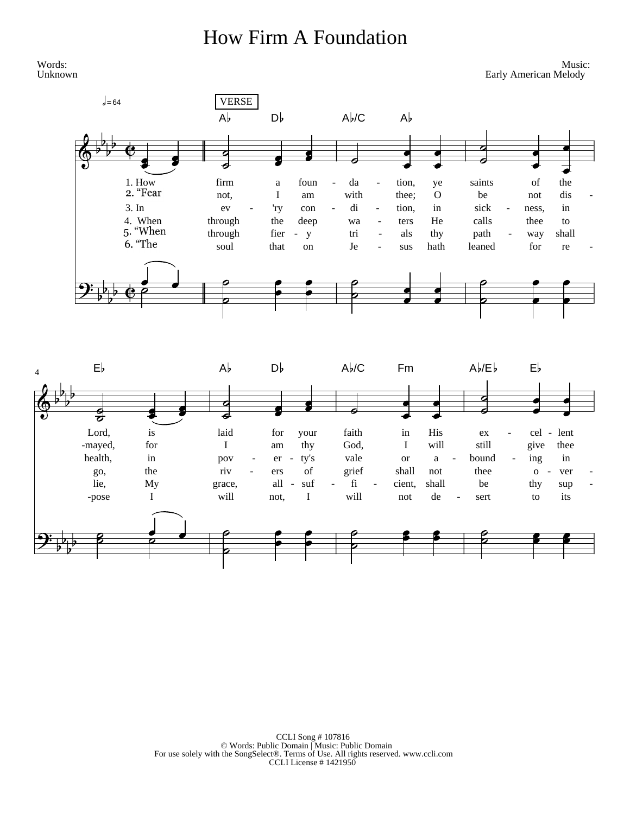## **How Firm A Foundation**